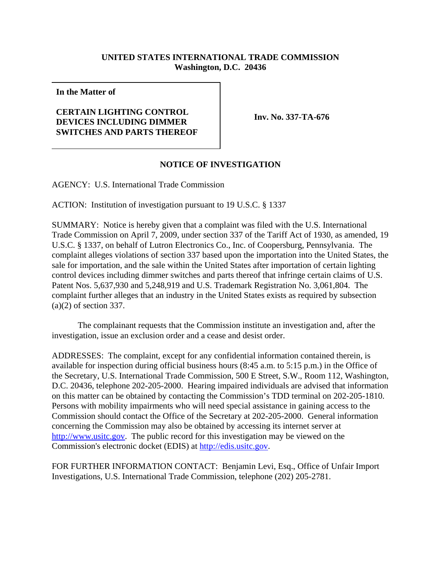## **UNITED STATES INTERNATIONAL TRADE COMMISSION Washington, D.C. 20436**

**In the Matter of**

## **CERTAIN LIGHTING CONTROL DEVICES INCLUDING DIMMER SWITCHES AND PARTS THEREOF**

**Inv. No. 337-TA-676**

## **NOTICE OF INVESTIGATION**

AGENCY: U.S. International Trade Commission

ACTION: Institution of investigation pursuant to 19 U.S.C. § 1337

SUMMARY: Notice is hereby given that a complaint was filed with the U.S. International Trade Commission on April 7, 2009, under section 337 of the Tariff Act of 1930, as amended, 19 U.S.C. § 1337, on behalf of Lutron Electronics Co., Inc. of Coopersburg, Pennsylvania. The complaint alleges violations of section 337 based upon the importation into the United States, the sale for importation, and the sale within the United States after importation of certain lighting control devices including dimmer switches and parts thereof that infringe certain claims of U.S. Patent Nos. 5,637,930 and 5,248,919 and U.S. Trademark Registration No. 3,061,804. The complaint further alleges that an industry in the United States exists as required by subsection (a)(2) of section 337.

The complainant requests that the Commission institute an investigation and, after the investigation, issue an exclusion order and a cease and desist order.

ADDRESSES: The complaint, except for any confidential information contained therein, is available for inspection during official business hours (8:45 a.m. to 5:15 p.m.) in the Office of the Secretary, U.S. International Trade Commission, 500 E Street, S.W., Room 112, Washington, D.C. 20436, telephone 202-205-2000. Hearing impaired individuals are advised that information on this matter can be obtained by contacting the Commission's TDD terminal on 202-205-1810. Persons with mobility impairments who will need special assistance in gaining access to the Commission should contact the Office of the Secretary at 202-205-2000. General information concerning the Commission may also be obtained by accessing its internet server at http://www.usitc.gov. The public record for this investigation may be viewed on the Commission's electronic docket (EDIS) at http://edis.usitc.gov.

FOR FURTHER INFORMATION CONTACT: Benjamin Levi, Esq., Office of Unfair Import Investigations, U.S. International Trade Commission, telephone (202) 205-2781.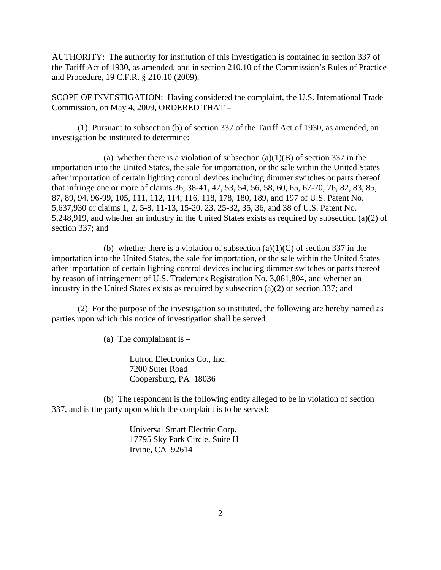AUTHORITY: The authority for institution of this investigation is contained in section 337 of the Tariff Act of 1930, as amended, and in section 210.10 of the Commission's Rules of Practice and Procedure, 19 C.F.R. § 210.10 (2009).

SCOPE OF INVESTIGATION: Having considered the complaint, the U.S. International Trade Commission, on May 4, 2009, ORDERED THAT –

(1) Pursuant to subsection (b) of section 337 of the Tariff Act of 1930, as amended, an investigation be instituted to determine:

(a) whether there is a violation of subsection  $(a)(1)(B)$  of section 337 in the importation into the United States, the sale for importation, or the sale within the United States after importation of certain lighting control devices including dimmer switches or parts thereof that infringe one or more of claims 36, 38-41, 47, 53, 54, 56, 58, 60, 65, 67-70, 76, 82, 83, 85, 87, 89, 94, 96-99, 105, 111, 112, 114, 116, 118, 178, 180, 189, and 197 of U.S. Patent No. 5,637,930 or claims 1, 2, 5-8, 11-13, 15-20, 23, 25-32, 35, 36, and 38 of U.S. Patent No. 5,248,919, and whether an industry in the United States exists as required by subsection (a)(2) of section 337; and

(b) whether there is a violation of subsection  $(a)(1)(C)$  of section 337 in the importation into the United States, the sale for importation, or the sale within the United States after importation of certain lighting control devices including dimmer switches or parts thereof by reason of infringement of U.S. Trademark Registration No. 3,061,804, and whether an industry in the United States exists as required by subsection (a)(2) of section 337; and

(2) For the purpose of the investigation so instituted, the following are hereby named as parties upon which this notice of investigation shall be served:

(a) The complainant is  $-$ 

Lutron Electronics Co., Inc. 7200 Suter Road Coopersburg, PA 18036

(b) The respondent is the following entity alleged to be in violation of section 337, and is the party upon which the complaint is to be served:

> Universal Smart Electric Corp. 17795 Sky Park Circle, Suite H Irvine, CA 92614